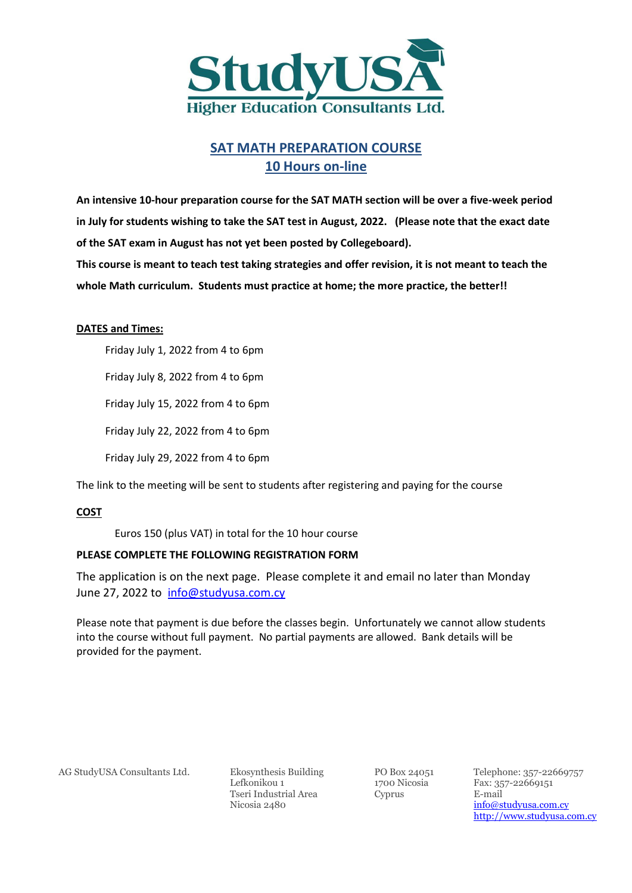

### **SAT MATH PREPARATION COURSE 10 Hours on-line**

**An intensive 10-hour preparation course for the SAT MATH section will be over a five-week period in July for students wishing to take the SAT test in August, 2022. (Please note that the exact date of the SAT exam in August has not yet been posted by Collegeboard).** 

**This course is meant to teach test taking strategies and offer revision, it is not meant to teach the whole Math curriculum. Students must practice at home; the more practice, the better!!** 

#### **DATES and Times:**

Friday July 1, 2022 from 4 to 6pm

Friday July 8, 2022 from 4 to 6pm

Friday July 15, 2022 from 4 to 6pm

Friday July 22, 2022 from 4 to 6pm

Friday July 29, 2022 from 4 to 6pm

The link to the meeting will be sent to students after registering and paying for the course

#### **COST**

Euros 150 (plus VAT) in total for the 10 hour course

#### **PLEASE COMPLETE THE FOLLOWING REGISTRATION FORM**

The application is on the next page. Please complete it and email no later than Monday June 27, 2022 to [info@studyusa.com.cy](mailto:info@studyusa.com.cy)

Please note that payment is due before the classes begin. Unfortunately we cannot allow students into the course without full payment. No partial payments are allowed. Bank details will be provided for the payment.

AG StudyUSA Consultants Ltd. Ekosynthesis Building PO Box 24051 Telephone: 357-22669757

Lefkonikou 1 1700 Nicosia Fax: 357-22669151 Tseri Industrial Area Nicosia 2480

Cyprus E-mail

[info@studyusa.com.cy](mailto:info@studyusa.com.cy)  [http://www.studyusa.com.cy](http://www.studyusa.com.cy/)